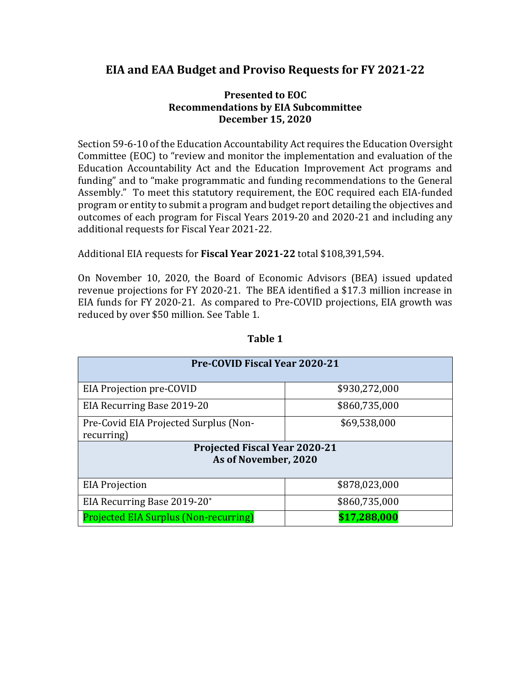# **EIA and EAA Budget and Proviso Requests for FY 2021-22**

#### **Presented to EOC Recommendations by EIA Subcommittee December 15, 2020**

Section 59-6-10 of the Education Accountability Act requires the Education Oversight Committee (EOC) to "review and monitor the implementation and evaluation of the Education Accountability Act and the Education Improvement Act programs and funding" and to "make programmatic and funding recommendations to the General Assembly." To meet this statutory requirement, the EOC required each EIA-funded program or entity to submit a program and budget report detailing the objectives and outcomes of each program for Fiscal Years 2019-20 and 2020-21 and including any additional requests for Fiscal Year 2021-22.

#### Additional EIA requests for **Fiscal Year 2021-22** total \$108,391,594.

On November 10, 2020, the Board of Economic Advisors (BEA) issued updated revenue projections for FY 2020-21. The BEA identified a \$17.3 million increase in EIA funds for FY 2020-21. As compared to Pre-COVID projections, EIA growth was reduced by over \$50 million. See Table 1.

| <b>Pre-COVID Fiscal Year 2020-21</b>                         |               |  |  |  |  |  |
|--------------------------------------------------------------|---------------|--|--|--|--|--|
| EIA Projection pre-COVID                                     | \$930,272,000 |  |  |  |  |  |
| EIA Recurring Base 2019-20                                   | \$860,735,000 |  |  |  |  |  |
| Pre-Covid EIA Projected Surplus (Non-<br>recurring)          | \$69,538,000  |  |  |  |  |  |
| <b>Projected Fiscal Year 2020-21</b><br>As of November, 2020 |               |  |  |  |  |  |
| <b>EIA Projection</b>                                        | \$878,023,000 |  |  |  |  |  |
| EIA Recurring Base 2019-20*                                  | \$860,735,000 |  |  |  |  |  |
| <b>Projected EIA Surplus (Non-recurring)</b>                 | \$17,288,000  |  |  |  |  |  |

#### **Table 1**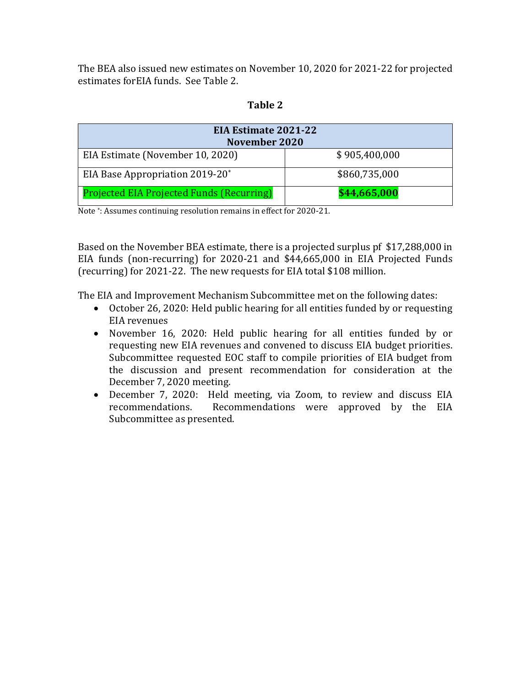The BEA also issued new estimates on November 10, 2020 for 2021-22 for projected estimates forEIA funds. See Table 2.

| <b>EIA Estimate 2021-22</b><br><b>November 2020</b> |               |  |  |  |  |
|-----------------------------------------------------|---------------|--|--|--|--|
| EIA Estimate (November 10, 2020)                    | \$905,400,000 |  |  |  |  |
| EIA Base Appropriation 2019-20*                     | \$860,735,000 |  |  |  |  |
| <b>Projected EIA Projected Funds (Recurring)</b>    | \$44,665,000  |  |  |  |  |

#### **Table 2**

Note \*: Assumes continuing resolution remains in effect for 2020-21.

Based on the November BEA estimate, there is a projected surplus pf \$17,288,000 in EIA funds (non-recurring) for 2020-21 and \$44,665,000 in EIA Projected Funds (recurring) for 2021-22. The new requests for EIA total \$108 million.

The EIA and Improvement Mechanism Subcommittee met on the following dates:

- October 26, 2020: Held public hearing for all entities funded by or requesting EIA revenues
- November 16, 2020: Held public hearing for all entities funded by or requesting new EIA revenues and convened to discuss EIA budget priorities. Subcommittee requested EOC staff to compile priorities of EIA budget from the discussion and present recommendation for consideration at the December 7, 2020 meeting.
- December 7, 2020: Held meeting, via Zoom, to review and discuss EIA recommendations. Recommendations were approved by the EIA Recommendations were approved by the EIA Subcommittee as presented.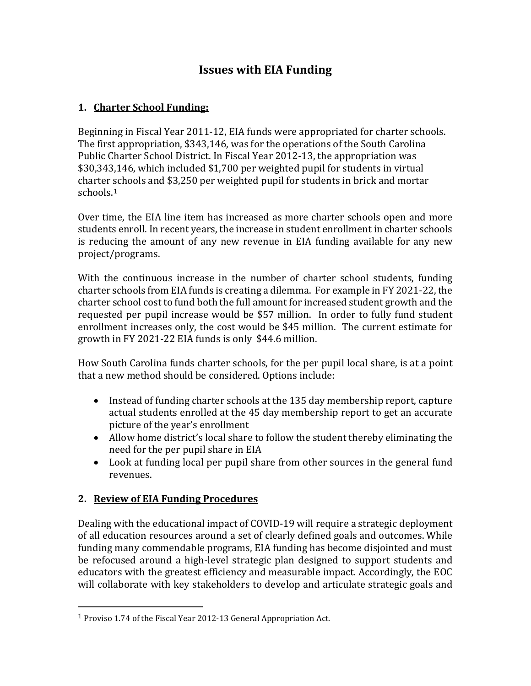# **Issues with EIA Funding**

## **1. Charter School Funding:**

Beginning in Fiscal Year 2011-12, EIA funds were appropriated for charter schools. The first appropriation, \$343,146, was for the operations of the South Carolina Public Charter School District. In Fiscal Year 2012-13, the appropriation was \$30,343,146, which included \$1,700 per weighted pupil for students in virtual charter schools and \$3,250 per weighted pupil for students in brick and mortar schools.[1](#page-2-0)

Over time, the EIA line item has increased as more charter schools open and more students enroll. In recent years, the increase in student enrollment in charter schools is reducing the amount of any new revenue in EIA funding available for any new project/programs.

With the continuous increase in the number of charter school students, funding charter schools from EIA funds is creating a dilemma. For example in FY 2021-22, the charter school cost to fund both the full amount for increased student growth and the requested per pupil increase would be \$57 million. In order to fully fund student enrollment increases only, the cost would be \$45 million. The current estimate for growth in FY 2021-22 EIA funds is only \$44.6 million.

How South Carolina funds charter schools, for the per pupil local share, is at a point that a new method should be considered. Options include:

- Instead of funding charter schools at the 135 day membership report, capture actual students enrolled at the 45 day membership report to get an accurate picture of the year's enrollment
- Allow home district's local share to follow the student thereby eliminating the need for the per pupil share in EIA
- Look at funding local per pupil share from other sources in the general fund revenues.

### **2. Review of EIA Funding Procedures**

Dealing with the educational impact of COVID-19 will require a strategic deployment of all education resources around a set of clearly defined goals and outcomes. While funding many commendable programs, EIA funding has become disjointed and must be refocused around a high-level strategic plan designed to support students and educators with the greatest efficiency and measurable impact. Accordingly, the EOC will collaborate with key stakeholders to develop and articulate strategic goals and

<span id="page-2-0"></span><sup>1</sup> Proviso 1.74 of the Fiscal Year 2012-13 General Appropriation Act.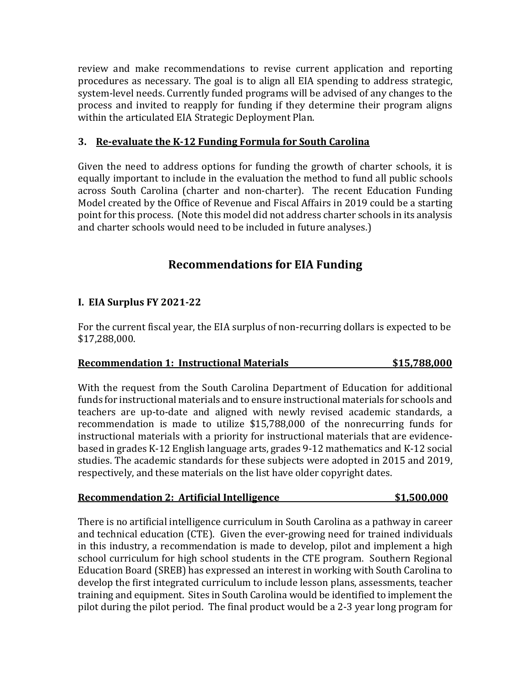review and make recommendations to revise current application and reporting procedures as necessary. The goal is to align all EIA spending to address strategic, system-level needs. Currently funded programs will be advised of any changes to the process and invited to reapply for funding if they determine their program aligns within the articulated EIA Strategic Deployment Plan.

#### **3. Re-evaluate the K-12 Funding Formula for South Carolina**

Given the need to address options for funding the growth of charter schools, it is equally important to include in the evaluation the method to fund all public schools across South Carolina (charter and non-charter). The recent Education Funding Model created by the Office of Revenue and Fiscal Affairs in 2019 could be a starting point for this process. (Note this model did not address charter schools in its analysis and charter schools would need to be included in future analyses.)

## **Recommendations for EIA Funding**

#### **I. EIA Surplus FY 2021-22**

For the current fiscal year, the EIA surplus of non-recurring dollars is expected to be \$17,288,000.

#### **Recommendation 1: Instructional Materials \$15,788,000**

With the request from the South Carolina Department of Education for additional funds for instructional materials and to ensure instructional materials for schools and teachers are up-to-date and aligned with newly revised academic standards, a recommendation is made to utilize \$15,788,000 of the nonrecurring funds for instructional materials with a priority for instructional materials that are evidencebased in grades K-12 English language arts, grades 9-12 mathematics and K-12 social studies. The academic standards for these subjects were adopted in 2015 and 2019, respectively, and these materials on the list have older copyright dates.

#### **Recommendation 2: Artificial Intelligence \$1,500,000**

There is no artificial intelligence curriculum in South Carolina as a pathway in career and technical education (CTE). Given the ever-growing need for trained individuals in this industry, a recommendation is made to develop, pilot and implement a high school curriculum for high school students in the CTE program. Southern Regional Education Board (SREB) has expressed an interest in working with South Carolina to develop the first integrated curriculum to include lesson plans, assessments, teacher training and equipment. Sites in South Carolina would be identified to implement the pilot during the pilot period. The final product would be a 2-3 year long program for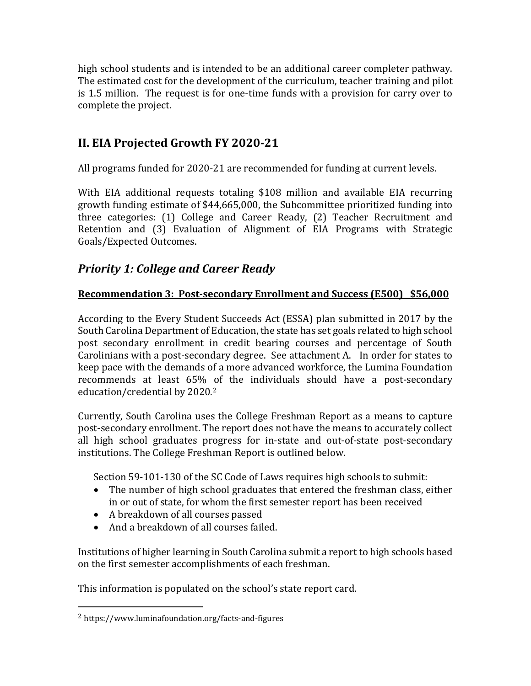high school students and is intended to be an additional career completer pathway. The estimated cost for the development of the curriculum, teacher training and pilot is 1.5 million. The request is for one-time funds with a provision for carry over to complete the project.

# **II. EIA Projected Growth FY 2020-21**

All programs funded for 2020-21 are recommended for funding at current levels.

With EIA additional requests totaling \$108 million and available EIA recurring growth funding estimate of \$44,665,000, the Subcommittee prioritized funding into three categories: (1) College and Career Ready, (2) Teacher Recruitment and Retention and (3) Evaluation of Alignment of EIA Programs with Strategic Goals/Expected Outcomes.

# *Priority 1: College and Career Ready*

## **Recommendation 3: Post-secondary Enrollment and Success (E500) \$56,000**

According to the Every Student Succeeds Act (ESSA) plan submitted in 2017 by the South Carolina Department of Education, the state has set goals related to high school post secondary enrollment in credit bearing courses and percentage of South Carolinians with a post-secondary degree. See attachment A. In order for states to keep pace with the demands of a more advanced workforce, the Lumina Foundation recommends at least 65% of the individuals should have a post-secondary education/credential by 2020.[2](#page-4-0)

Currently, South Carolina uses the College Freshman Report as a means to capture post-secondary enrollment. The report does not have the means to accurately collect all high school graduates progress for in-state and out-of-state post-secondary institutions. The College Freshman Report is outlined below.

Section 59-101-130 of the SC Code of Laws requires high schools to submit:

- The number of high school graduates that entered the freshman class, either in or out of state, for whom the first semester report has been received
- A breakdown of all courses passed
- And a breakdown of all courses failed.

Institutions of higher learning in South Carolina submit a report to high schools based on the first semester accomplishments of each freshman.

This information is populated on the school's state report card.

<span id="page-4-0"></span><sup>2</sup> https://www.luminafoundation.org/facts-and-figures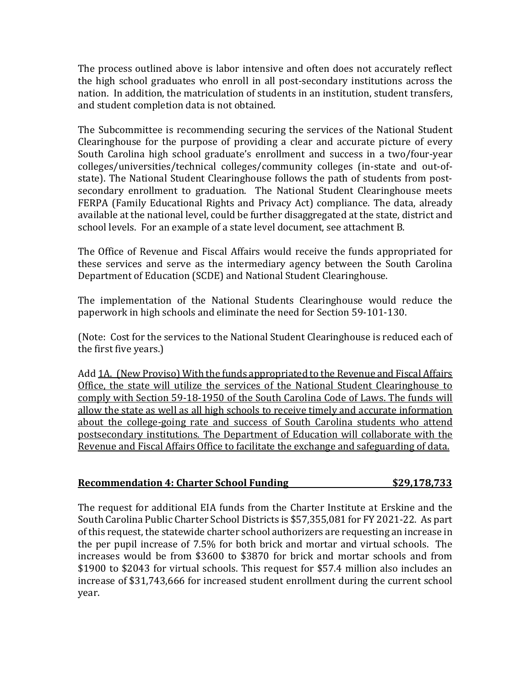The process outlined above is labor intensive and often does not accurately reflect the high school graduates who enroll in all post-secondary institutions across the nation. In addition, the matriculation of students in an institution, student transfers, and student completion data is not obtained.

The Subcommittee is recommending securing the services of the National Student Clearinghouse for the purpose of providing a clear and accurate picture of every South Carolina high school graduate's enrollment and success in a two/four-year colleges/universities/technical colleges/community colleges (in-state and out-ofstate). The National Student Clearinghouse follows the path of students from postsecondary enrollment to graduation. The National Student Clearinghouse meets FERPA (Family Educational Rights and Privacy Act) compliance. The data, already available at the national level, could be further disaggregated at the state, district and school levels. For an example of a state level document, see attachment B.

The Office of Revenue and Fiscal Affairs would receive the funds appropriated for these services and serve as the intermediary agency between the South Carolina Department of Education (SCDE) and National Student Clearinghouse.

The implementation of the National Students Clearinghouse would reduce the paperwork in high schools and eliminate the need for Section 59-101-130.

(Note: Cost for the services to the National Student Clearinghouse is reduced each of the first five years.)

Add 1A. (New Proviso) With the funds appropriated to the Revenue and Fiscal Affairs Office, the state will utilize the services of the National Student Clearinghouse to comply with Section 59-18-1950 of the South Carolina Code of Laws. The funds will allow the state as well as all high schools to receive timely and accurate information about the college-going rate and success of South Carolina students who attend postsecondary institutions. The Department of Education will collaborate with the Revenue and Fiscal Affairs Office to facilitate the exchange and safeguarding of data.

### **Recommendation 4: Charter School Funding \$29,178,733**

The request for additional EIA funds from the Charter Institute at Erskine and the South Carolina Public Charter School Districts is \$57,355,081 for FY 2021-22. As part of this request, the statewide charter school authorizers are requesting an increase in the per pupil increase of 7.5% for both brick and mortar and virtual schools. The increases would be from \$3600 to \$3870 for brick and mortar schools and from \$1900 to \$2043 for virtual schools. This request for \$57.4 million also includes an increase of \$31,743,666 for increased student enrollment during the current school year.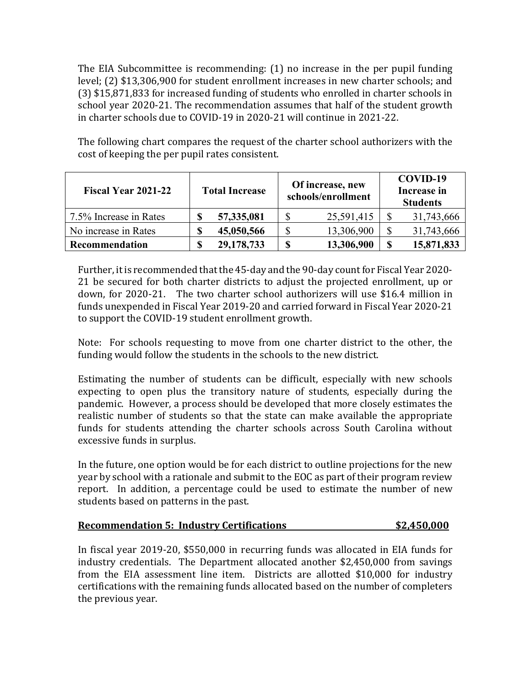The EIA Subcommittee is recommending: (1) no increase in the per pupil funding level; (2) \$13,306,900 for student enrollment increases in new charter schools; and (3) \$15,871,833 for increased funding of students who enrolled in charter schools in school year 2020-21. The recommendation assumes that half of the student growth in charter schools due to COVID-19 in 2020-21 will continue in 2021-22.

The following chart compares the request of the charter school authorizers with the cost of keeping the per pupil rates consistent.

| <b>Fiscal Year 2021-22</b> | <b>Total Increase</b> |  | Of increase, new<br>schools/enrollment |            |   | COVID-19<br><b>Increase in</b><br><b>Students</b> |  |  |
|----------------------------|-----------------------|--|----------------------------------------|------------|---|---------------------------------------------------|--|--|
| 7.5% Increase in Rates     | 57,335,081            |  |                                        | 25,591,415 |   | 31,743,666                                        |  |  |
| No increase in Rates       | 45,050,566            |  |                                        | 13,306,900 |   | 31,743,666                                        |  |  |
| Recommendation             | 29,178,733            |  |                                        | 13,306,900 | S | 15,871,833                                        |  |  |

Further, it is recommended that the 45-day and the 90-day count for Fiscal Year 2020- 21 be secured for both charter districts to adjust the projected enrollment, up or down, for 2020-21. The two charter school authorizers will use \$16.4 million in funds unexpended in Fiscal Year 2019-20 and carried forward in Fiscal Year 2020-21 to support the COVID-19 student enrollment growth.

Note: For schools requesting to move from one charter district to the other, the funding would follow the students in the schools to the new district.

Estimating the number of students can be difficult, especially with new schools expecting to open plus the transitory nature of students, especially during the pandemic. However, a process should be developed that more closely estimates the realistic number of students so that the state can make available the appropriate funds for students attending the charter schools across South Carolina without excessive funds in surplus.

In the future, one option would be for each district to outline projections for the new year by school with a rationale and submit to the EOC as part of their program review report. In addition, a percentage could be used to estimate the number of new students based on patterns in the past.

#### **Recommendation 5: Industry Certifications \$2,450,000**

In fiscal year 2019-20, \$550,000 in recurring funds was allocated in EIA funds for industry credentials. The Department allocated another \$2,450,000 from savings from the EIA assessment line item. Districts are allotted \$10,000 for industry certifications with the remaining funds allocated based on the number of completers the previous year.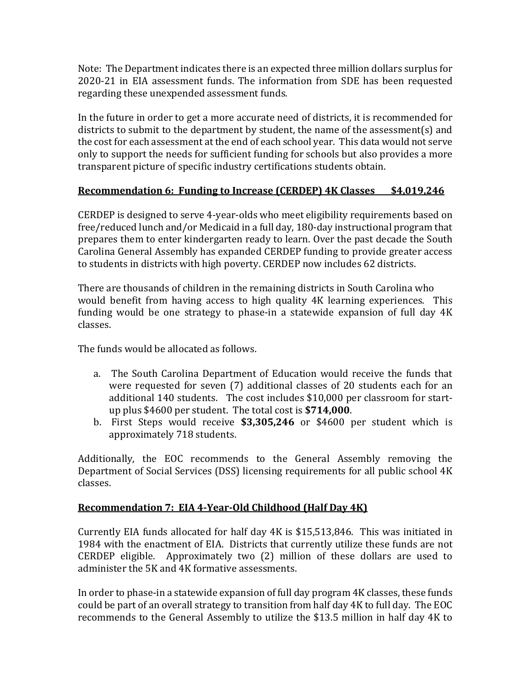Note: The Department indicates there is an expected three million dollars surplus for 2020-21 in EIA assessment funds. The information from SDE has been requested regarding these unexpended assessment funds.

In the future in order to get a more accurate need of districts, it is recommended for districts to submit to the department by student, the name of the assessment(s) and the cost for each assessment at the end of each school year. This data would not serve only to support the needs for sufficient funding for schools but also provides a more transparent picture of specific industry certifications students obtain.

#### **Recommendation 6: Funding to Increase (CERDEP) 4K Classes \$4,019,246**

CERDEP is designed to serve 4-year-olds who meet eligibility requirements based on free/reduced lunch and/or Medicaid in a full day, 180-day instructional program that prepares them to enter kindergarten ready to learn. Over the past decade the South Carolina General Assembly has expanded CERDEP funding to provide greater access to students in districts with high poverty. CERDEP now includes 62 districts.

There are thousands of children in the remaining districts in South Carolina who would benefit from having access to high quality 4K learning experiences. This funding would be one strategy to phase-in a statewide expansion of full day 4K classes.

The funds would be allocated as follows.

- a. The South Carolina Department of Education would receive the funds that were requested for seven (7) additional classes of 20 students each for an additional 140 students. The cost includes \$10,000 per classroom for startup plus \$4600 per student. The total cost is **\$714,000**.
- b. First Steps would receive **\$3,305,246** or \$4600 per student which is approximately 718 students.

Additionally, the EOC recommends to the General Assembly removing the Department of Social Services (DSS) licensing requirements for all public school 4K classes.

### **Recommendation 7: EIA 4-Year-Old Childhood (Half Day 4K)**

Currently EIA funds allocated for half day 4K is \$15,513,846. This was initiated in 1984 with the enactment of EIA. Districts that currently utilize these funds are not CERDEP eligible. Approximately two (2) million of these dollars are used to administer the 5K and 4K formative assessments.

In order to phase-in a statewide expansion of full day program 4K classes, these funds could be part of an overall strategy to transition from half day 4K to full day. The EOC recommends to the General Assembly to utilize the \$13.5 million in half day 4K to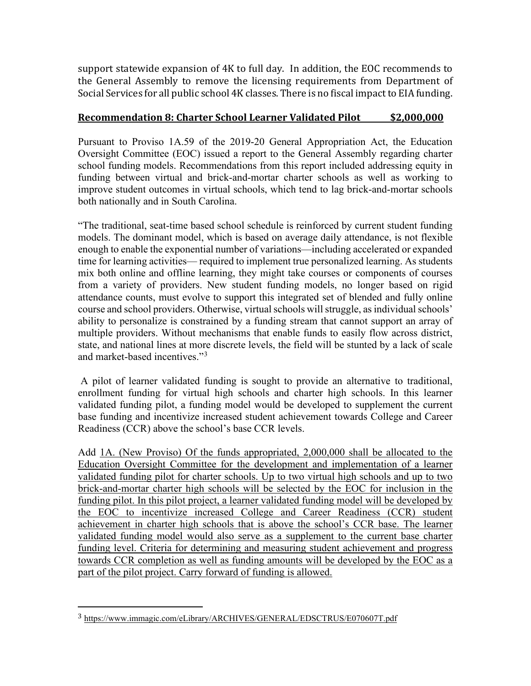support statewide expansion of 4K to full day. In addition, the EOC recommends to the General Assembly to remove the licensing requirements from Department of Social Services for all public school 4K classes. There is no fiscal impact to EIA funding.

#### **Recommendation 8: Charter School Learner Validated Pilot \$2,000,000**

Pursuant to Proviso 1A.59 of the 2019-20 General Appropriation Act, the Education Oversight Committee (EOC) issued a report to the General Assembly regarding charter school funding models. Recommendations from this report included addressing equity in funding between virtual and brick-and-mortar charter schools as well as working to improve student outcomes in virtual schools, which tend to lag brick-and-mortar schools both nationally and in South Carolina.

"The traditional, seat-time based school schedule is reinforced by current student funding models. The dominant model, which is based on average daily attendance, is not flexible enough to enable the exponential number of variations—including accelerated or expanded time for learning activities— required to implement true personalized learning. As students mix both online and offline learning, they might take courses or components of courses from a variety of providers. New student funding models, no longer based on rigid attendance counts, must evolve to support this integrated set of blended and fully online course and school providers. Otherwise, virtual schools will struggle, as individual schools' ability to personalize is constrained by a funding stream that cannot support an array of multiple providers. Without mechanisms that enable funds to easily flow across district, state, and national lines at more discrete levels, the field will be stunted by a lack of scale and market-based incentives."<sup>[3](#page-8-0)</sup>

A pilot of learner validated funding is sought to provide an alternative to traditional, enrollment funding for virtual high schools and charter high schools. In this learner validated funding pilot, a funding model would be developed to supplement the current base funding and incentivize increased student achievement towards College and Career Readiness (CCR) above the school's base CCR levels.

Add 1A. (New Proviso) Of the funds appropriated, 2,000,000 shall be allocated to the Education Oversight Committee for the development and implementation of a learner validated funding pilot for charter schools. Up to two virtual high schools and up to two brick-and-mortar charter high schools will be selected by the EOC for inclusion in the funding pilot. In this pilot project, a learner validated funding model will be developed by the EOC to incentivize increased College and Career Readiness (CCR) student achievement in charter high schools that is above the school's CCR base. The learner validated funding model would also serve as a supplement to the current base charter funding level. Criteria for determining and measuring student achievement and progress towards CCR completion as well as funding amounts will be developed by the EOC as a part of the pilot project. Carry forward of funding is allowed.

<span id="page-8-0"></span><sup>3</sup> <https://www.immagic.com/eLibrary/ARCHIVES/GENERAL/EDSCTRUS/E070607T.pdf>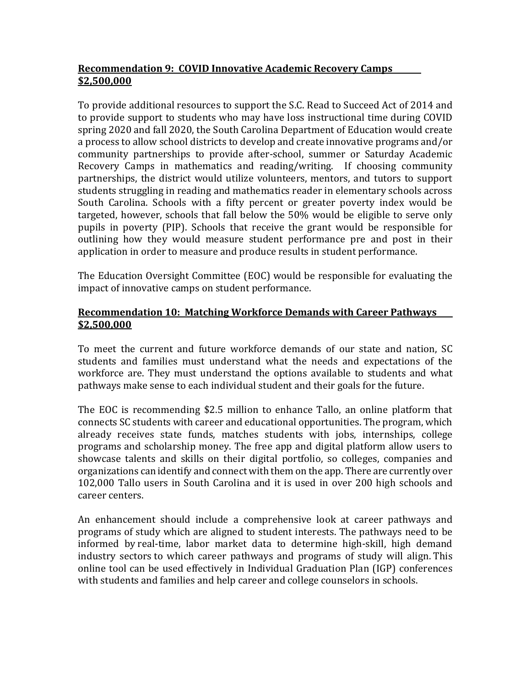### **Recommendation 9: COVID Innovative Academic Recovery Camps \$2,500,000**

To provide additional resources to support the S.C. Read to Succeed Act of 2014 and to provide support to students who may have loss instructional time during COVID spring 2020 and fall 2020, the South Carolina Department of Education would create a process to allow school districts to develop and create innovative programs and/or community partnerships to provide after-school, summer or Saturday Academic Recovery Camps in mathematics and reading/writing. If choosing community partnerships, the district would utilize volunteers, mentors, and tutors to support students struggling in reading and mathematics reader in elementary schools across South Carolina. Schools with a fifty percent or greater poverty index would be targeted, however, schools that fall below the 50% would be eligible to serve only pupils in poverty (PIP). Schools that receive the grant would be responsible for outlining how they would measure student performance pre and post in their application in order to measure and produce results in student performance.

The Education Oversight Committee (EOC) would be responsible for evaluating the impact of innovative camps on student performance.

#### **Recommendation 10: Matching Workforce Demands with Career Pathways \$2,500,000**

To meet the current and future workforce demands of our state and nation, SC students and families must understand what the needs and expectations of the workforce are. They must understand the options available to students and what pathways make sense to each individual student and their goals for the future.

The EOC is recommending \$2.5 million to enhance Tallo, an online platform that connects SC students with career and educational opportunities. The program, which already receives state funds, matches students with jobs, internships, college programs and scholarship money. The free app and digital platform allow users to showcase talents and skills on their digital portfolio, so colleges, companies and organizations can identify and connect with them on the app. There are currently over 102,000 Tallo users in South Carolina and it is used in over 200 high schools and career centers.

An enhancement should include a comprehensive look at career pathways and programs of study which are aligned to student interests. The pathways need to be informed by real-time, labor market data to determine high-skill, high demand industry sectors to which career pathways and programs of study will align. This online tool can be used effectively in Individual Graduation Plan (IGP) conferences with students and families and help career and college counselors in schools.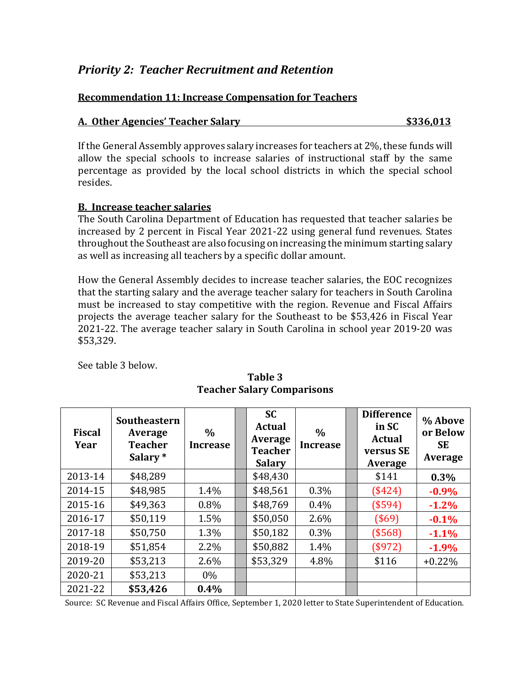# *Priority 2: Teacher Recruitment and Retention*

#### **Recommendation 11: Increase Compensation for Teachers**

#### **A. Other Agencies' Teacher Salary \$336,013**

If the General Assembly approves salary increases for teachers at 2%, these funds will allow the special schools to increase salaries of instructional staff by the same percentage as provided by the local school districts in which the special school resides.

#### **B. Increase teacher salaries**

The South Carolina Department of Education has requested that teacher salaries be increased by 2 percent in Fiscal Year 2021-22 using general fund revenues. States throughout the Southeast are also focusing on increasing the minimum starting salary as well as increasing all teachers by a specific dollar amount.

How the General Assembly decides to increase teacher salaries, the EOC recognizes that the starting salary and the average teacher salary for teachers in South Carolina must be increased to stay competitive with the region. Revenue and Fiscal Affairs projects the average teacher salary for the Southeast to be \$53,426 in Fiscal Year 2021-22. The average teacher salary in South Carolina in school year 2019-20 was \$53,329.

See table 3 below.

| <b>Fiscal</b><br>Year | Southeastern<br>Average<br><b>Teacher</b><br>Salary <sup>*</sup> | $\frac{0}{0}$<br><b>Increase</b> | <b>SC</b><br><b>Actual</b><br>Average<br><b>Teacher</b><br><b>Salary</b> | $\frac{0}{0}$<br><b>Increase</b> | <b>Difference</b><br>in SC<br><b>Actual</b><br>versus SE<br>Average | % Above<br>or Below<br><b>SE</b><br>Average |
|-----------------------|------------------------------------------------------------------|----------------------------------|--------------------------------------------------------------------------|----------------------------------|---------------------------------------------------------------------|---------------------------------------------|
| 2013-14               | \$48,289                                                         |                                  | \$48,430                                                                 |                                  | \$141                                                               | 0.3%                                        |
| 2014-15               | \$48,985                                                         | 1.4%                             | \$48,561                                                                 | 0.3%                             | (\$424)                                                             | $-0.9%$                                     |
| 2015-16               | \$49,363                                                         | $0.8\%$                          | \$48,769                                                                 | 0.4%                             | (\$594)                                                             | $-1.2%$                                     |
| 2016-17               | \$50,119                                                         | 1.5%                             | \$50,050                                                                 | 2.6%                             | (\$69)                                                              | $-0.1%$                                     |
| 2017-18               | \$50,750                                                         | 1.3%                             | \$50,182                                                                 | 0.3%                             | (\$568)                                                             | $-1.1%$                                     |
| 2018-19               | \$51,854                                                         | 2.2%                             | \$50,882                                                                 | 1.4%                             | (\$972)                                                             | $-1.9%$                                     |
| 2019-20               | \$53,213                                                         | 2.6%                             | \$53,329                                                                 | 4.8%                             | \$116                                                               | $+0.22\%$                                   |
| 2020-21               | \$53,213                                                         | $0\%$                            |                                                                          |                                  |                                                                     |                                             |
| 2021-22               | \$53,426                                                         | 0.4%                             |                                                                          |                                  |                                                                     |                                             |

### **Table 3 Teacher Salary Comparisons**

Source: SC Revenue and Fiscal Affairs Office, September 1, 2020 letter to State Superintendent of Education.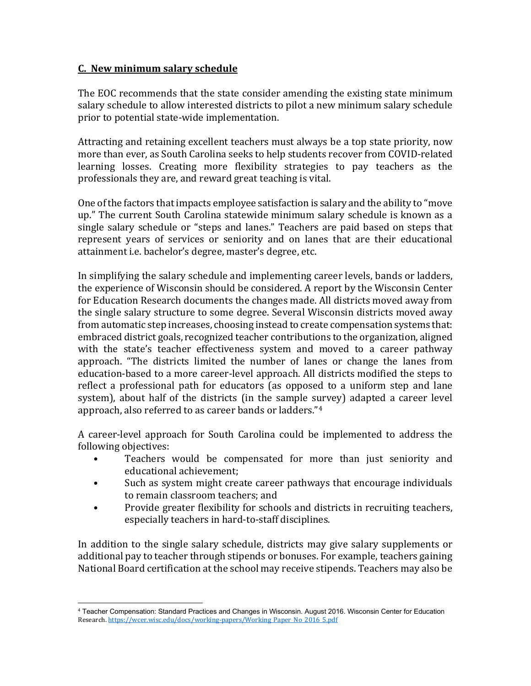#### **C. New minimum salary schedule**

The EOC recommends that the state consider amending the existing state minimum salary schedule to allow interested districts to pilot a new minimum salary schedule prior to potential state-wide implementation.

Attracting and retaining excellent teachers must always be a top state priority, now more than ever, as South Carolina seeks to help students recover from COVID-related learning losses. Creating more flexibility strategies to pay teachers as the professionals they are, and reward great teaching is vital.

One of the factors that impacts employee satisfaction is salary and the ability to "move up." The current South Carolina statewide minimum salary schedule is known as a single salary schedule or "steps and lanes." Teachers are paid based on steps that represent years of services or seniority and on lanes that are their educational attainment i.e. bachelor's degree, master's degree, etc.

In simplifying the salary schedule and implementing career levels, bands or ladders, the experience of Wisconsin should be considered. A report by the Wisconsin Center for Education Research documents the changes made. All districts moved away from the single salary structure to some degree. Several Wisconsin districts moved away from automatic step increases, choosing instead to create compensation systems that: embraced district goals, recognized teacher contributions to the organization, aligned with the state's teacher effectiveness system and moved to a career pathway approach. "The districts limited the number of lanes or change the lanes from education-based to a more career-level approach. All districts modified the steps to reflect a professional path for educators (as opposed to a uniform step and lane system), about half of the districts (in the sample survey) adapted a career level approach, also referred to as career bands or ladders."[4](#page-11-0)

A career-level approach for South Carolina could be implemented to address the following objectives:

- Teachers would be compensated for more than just seniority and educational achievement;
- Such as system might create career pathways that encourage individuals to remain classroom teachers; and
- Provide greater flexibility for schools and districts in recruiting teachers, especially teachers in hard-to-staff disciplines.

In addition to the single salary schedule, districts may give salary supplements or additional pay to teacher through stipends or bonuses. For example, teachers gaining National Board certification at the school may receive stipends. Teachers may also be

<span id="page-11-0"></span><sup>4</sup> Teacher Compensation: Standard Practices and Changes in Wisconsin. August 2016. Wisconsin Center for Education Research[. https://wcer.wisc.edu/docs/working-papers/Working\\_Paper\\_No\\_2016\\_5.pdf](https://wcer.wisc.edu/docs/working-papers/Working_Paper_No_2016_5.pdf)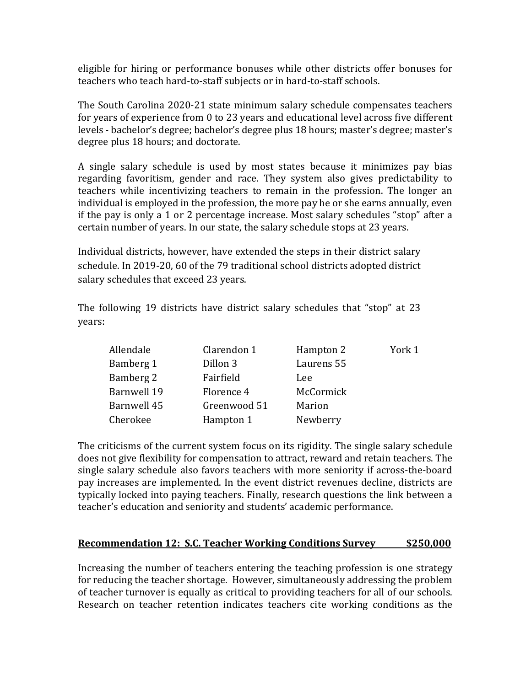eligible for hiring or performance bonuses while other districts offer bonuses for teachers who teach hard-to-staff subjects or in hard-to-staff schools.

The South Carolina 2020-21 state minimum salary schedule compensates teachers for years of experience from 0 to 23 years and educational level across five different levels - bachelor's degree; bachelor's degree plus 18 hours; master's degree; master's degree plus 18 hours; and doctorate.

A single salary schedule is used by most states because it minimizes pay bias regarding favoritism, gender and race. They system also gives predictability to teachers while incentivizing teachers to remain in the profession. The longer an individual is employed in the profession, the more pay he or she earns annually, even if the pay is only a 1 or 2 percentage increase. Most salary schedules "stop" after a certain number of years. In our state, the salary schedule stops at 23 years.

Individual districts, however, have extended the steps in their district salary schedule. In 2019-20, 60 of the 79 traditional school districts adopted district salary schedules that exceed 23 years.

The following 19 districts have district salary schedules that "stop" at 23 years:

| Allendale   | Clarendon 1  | Hampton 2     | York 1 |
|-------------|--------------|---------------|--------|
| Bamberg 1   | Dillon 3     | Laurens 55    |        |
| Bamberg 2   | Fairfield    | Lee           |        |
| Barnwell 19 | Florence 4   | McCormick     |        |
| Barnwell 45 | Greenwood 51 | <b>Marion</b> |        |
| Cherokee    | Hampton 1    | Newberry      |        |

The criticisms of the current system focus on its rigidity. The single salary schedule does not give flexibility for compensation to attract, reward and retain teachers. The single salary schedule also favors teachers with more seniority if across-the-board pay increases are implemented. In the event district revenues decline, districts are typically locked into paying teachers. Finally, research questions the link between a teacher's education and seniority and students' academic performance.

#### **Recommendation 12: S.C. Teacher Working Conditions Survey \$250,000**

Increasing the number of teachers entering the teaching profession is one strategy for reducing the teacher shortage. However, simultaneously addressing the problem of teacher turnover is equally as critical to providing teachers for all of our schools. Research on teacher retention indicates teachers cite working conditions as the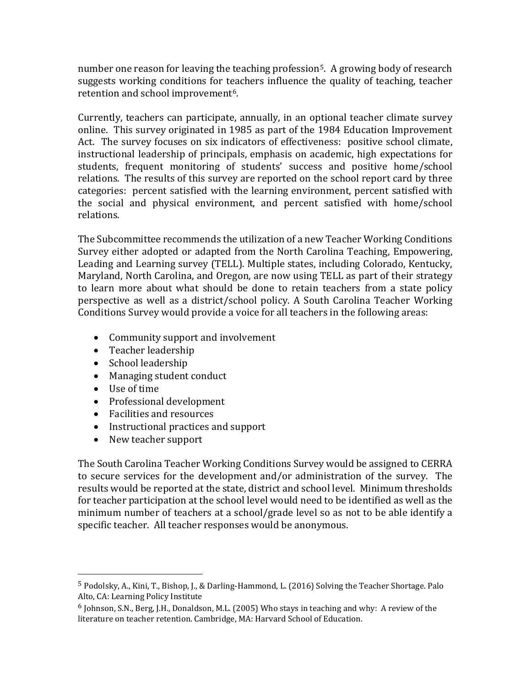number one reason for leaving the teaching profession<sup>5</sup>. A growing body of research suggests working conditions for teachers influence the quality of teaching, teacher retention and school improvement<sup>6</sup>.

Currently, teachers can participate, annually, in an optional teacher climate survey online. This survey originated in 1985 as part of the 1984 Education Improvement Act. The survey focuses on six indicators of effectiveness: positive school climate, instructional leadership of principals, emphasis on academic, high expectations for students, frequent monitoring of students' success and positive home/school relations. The results of this survey are reported on the school report card by three categories: percent satisfied with the learning environment, percent satisfied with the social and physical environment, and percent satisfied with home/school relations.

The Subcommittee recommends the utilization of a new Teacher Working Conditions Survey either adopted or adapted from the North Carolina Teaching, Empowering, Leading and Learning survey (TELL). Multiple states, including Colorado, Kentucky, Maryland, North Carolina, and Oregon, are now using TELL as part of their strategy to learn more about what should be done to retain teachers from a state policy perspective as well as a district/school policy. A South Carolina Teacher Working Conditions Survey would provide a voice for all teachers in the following areas:

- Community support and involvement
- Teacher leadership
- School leadership
- Managing student conduct
- Use of time
- Professional development
- Facilities and resources
- Instructional practices and support
- New teacher support

The South Carolina Teacher Working Conditions Survey would be assigned to CERRA to secure services for the development and/or administration of the survey. The results would be reported at the state, district and school level. Minimum thresholds for teacher participation at the school level would need to be identified as well as the minimum number of teachers at a school/grade level so as not to be able identify a specific teacher. All teacher responses would be anonymous.

<span id="page-13-0"></span><sup>5</sup> Podolsky, A., Kini, T., Bishop, J., & Darling-Hammond, L. (2016) Solving the Teacher Shortage. Palo Alto, CA: Learning Policy Institute

<span id="page-13-1"></span> $6$  Johnson, S.N., Berg, J.H., Donaldson, M.L. (2005) Who stays in teaching and why: A review of the literature on teacher retention. Cambridge, MA: Harvard School of Education.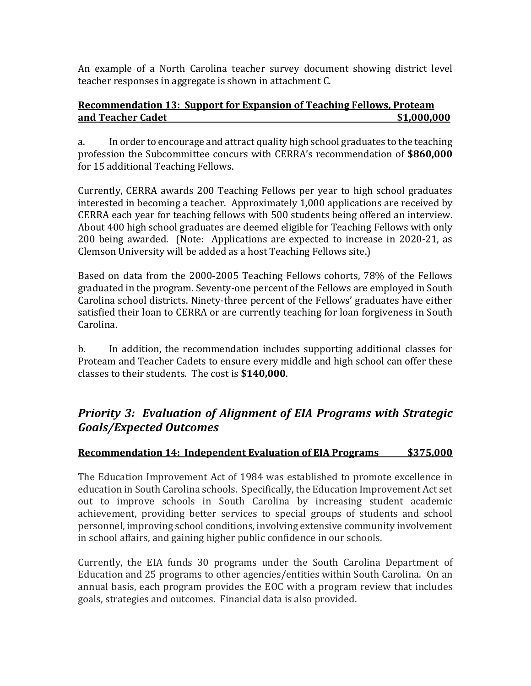An example of a North Carolina teacher survey document showing district level teacher responses in aggregate is shown in attachment C.

#### **Recommendation 13: Support for Expansion of Teaching Fellows, Proteam and Teacher Cadet 61,000,000**

a. In order to encourage and attract quality high school graduates to the teaching profession the Subcommittee concurs with CERRA's recommendation of **\$860,000** for 15 additional Teaching Fellows.

Currently, CERRA awards 200 Teaching Fellows per year to high school graduates interested in becoming a teacher. Approximately 1,000 applications are received by CERRA each year for teaching fellows with 500 students being offered an interview. About 400 high school graduates are deemed eligible for Teaching Fellows with only 200 being awarded. (Note: Applications are expected to increase in 2020-21, as Clemson University will be added as a host Teaching Fellows site.)

Based on data from the 2000-2005 Teaching Fellows cohorts, 78% of the Fellows graduated in the program. Seventy-one percent of the Fellows are employed in South Carolina school districts. Ninety-three percent of the Fellows' graduates have either satisfied their loan to CERRA or are currently teaching for loan forgiveness in South Carolina.

b. In addition, the recommendation includes supporting additional classes for Proteam and Teacher Cadets to ensure every middle and high school can offer these classes to their students. The cost is **\$140,000**.

# *Priority 3: Evaluation of Alignment of EIA Programs with Strategic Goals/Expected Outcomes*

### **Recommendation 14: Independent Evaluation of EIA Programs \$375,000**

The Education Improvement Act of 1984 was established to promote excellence in education in South Carolina schools. Specifically, the Education Improvement Act set out to improve schools in South Carolina by increasing student academic achievement, providing better services to special groups of students and school personnel, improving school conditions, involving extensive community involvement in school affairs, and gaining higher public confidence in our schools.

Currently, the EIA funds 30 programs under the South Carolina Department of Education and 25 programs to other agencies/entities within South Carolina. On an annual basis, each program provides the EOC with a program review that includes goals, strategies and outcomes. Financial data is also provided.